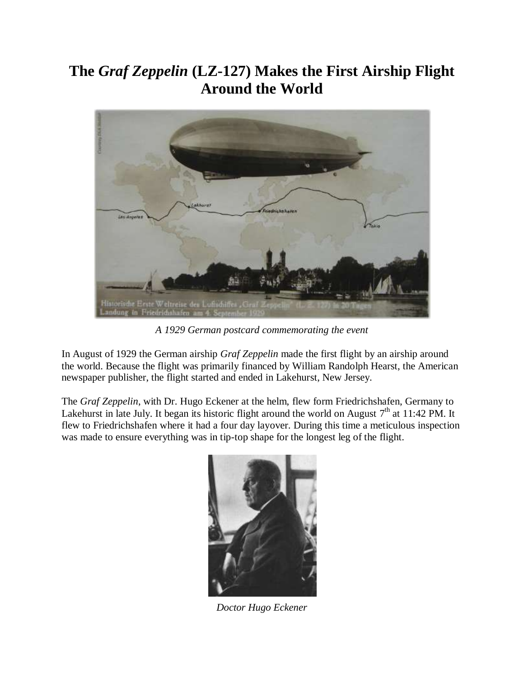## **The** *Graf Zeppelin* **(LZ-127) Makes the First Airship Flight Around the World**



*A 1929 German postcard commemorating the event*

In August of 1929 the German airship *Graf Zeppelin* made the first flight by an airship around the world. Because the flight was primarily financed by William Randolph Hearst, the American newspaper publisher, the flight started and ended in Lakehurst, New Jersey.

The *Graf Zeppelin*, with Dr. Hugo Eckener at the helm, flew form Friedrichshafen, Germany to Lakehurst in late July. It began its historic flight around the world on August  $7<sup>th</sup>$  at 11:42 PM. It flew to Friedrichshafen where it had a four day layover. During this time a meticulous inspection was made to ensure everything was in tip-top shape for the longest leg of the flight.



*Doctor Hugo Eckener*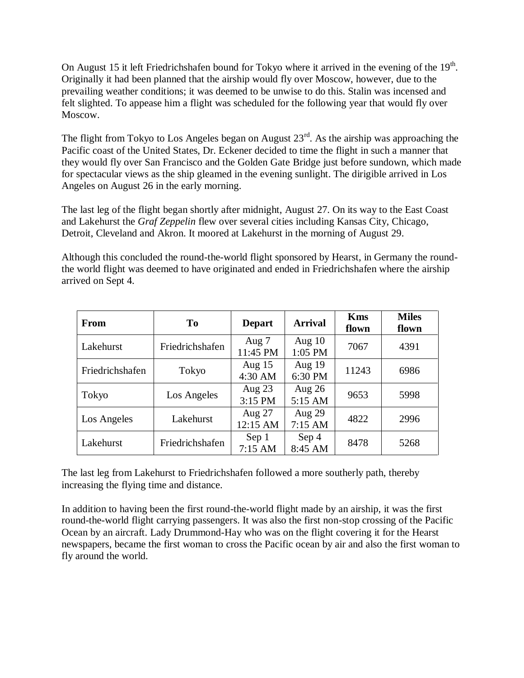On August 15 it left Friedrichshafen bound for Tokyo where it arrived in the evening of the  $19<sup>th</sup>$ . Originally it had been planned that the airship would fly over Moscow, however, due to the prevailing weather conditions; it was deemed to be unwise to do this. Stalin was incensed and felt slighted. To appease him a flight was scheduled for the following year that would fly over Moscow.

The flight from Tokyo to Los Angeles began on August  $23<sup>rd</sup>$ . As the airship was approaching the Pacific coast of the United States, Dr. Eckener decided to time the flight in such a manner that they would fly over San Francisco and the Golden Gate Bridge just before sundown, which made for spectacular views as the ship gleamed in the evening sunlight. The dirigible arrived in Los Angeles on August 26 in the early morning.

The last leg of the flight began shortly after midnight, August 27. On its way to the East Coast and Lakehurst the *Graf Zeppelin* flew over several cities including Kansas City, Chicago, Detroit, Cleveland and Akron. It moored at Lakehurst in the morning of August 29.

Although this concluded the round-the-world flight sponsored by Hearst, in Germany the roundthe world flight was deemed to have originated and ended in Friedrichshafen where the airship arrived on Sept 4.

| From            | T <sub>0</sub>  | <b>Depart</b>       | <b>Arrival</b>        | <b>Kms</b><br>flown | <b>Miles</b><br>flown |
|-----------------|-----------------|---------------------|-----------------------|---------------------|-----------------------|
| Lakehurst       | Friedrichshafen | Aug 7<br>11:45 PM   | Aug $10$<br>1:05 PM   | 7067                | 4391                  |
| Friedrichshafen | Tokyo           | Aug $15$<br>4:30 AM | Aug 19<br>6:30 PM     | 11243               | 6986                  |
| Tokyo           | Los Angeles     | Aug $23$<br>3:15 PM | Aug $26$<br>5:15 AM   | 9653                | 5998                  |
| Los Angeles     | Lakehurst       | Aug 27<br>12:15 AM  | Aug $29$<br>$7:15$ AM | 4822                | 2996                  |
| Lakehurst       | Friedrichshafen | Sep 1<br>$7:15$ AM  | Sep 4<br>8:45 AM      | 8478                | 5268                  |

The last leg from Lakehurst to Friedrichshafen followed a more southerly path, thereby increasing the flying time and distance.

In addition to having been the first round-the-world flight made by an airship, it was the first round-the-world flight carrying passengers. It was also the first non-stop crossing of the Pacific Ocean by an aircraft. Lady Drummond-Hay who was on the flight covering it for the Hearst newspapers, became the first woman to cross the Pacific ocean by air and also the first woman to fly around the world.